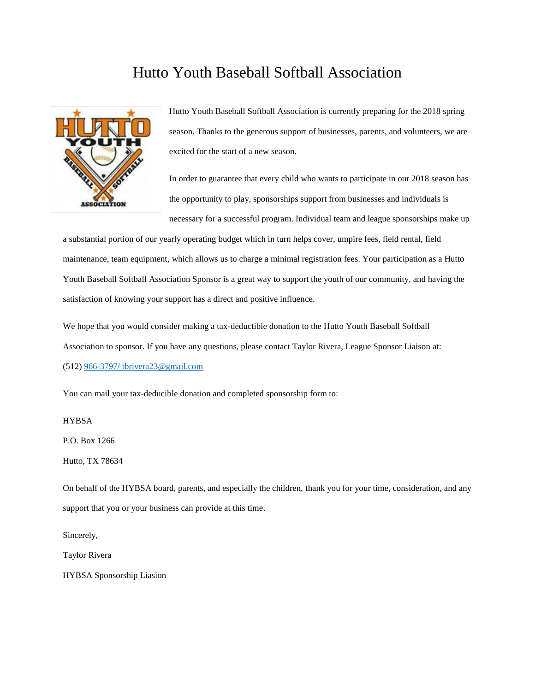## Hutto Youth Baseball Softball Association



Hutto Youth Baseball Softball Association is currently preparing for the 2018 spring season. Thanks to the generous support of businesses, parents, and volunteers, we are excited for the start of a new season.

In order to guarantee that every child who wants to participate in our 2018 season has the opportunity to play, sponsorships support from businesses and individuals is necessary for a successful program. Individual team and league sponsorships make up

a substantial portion of our yearly operating budget which in turn helps cover, umpire fees, field rental, field maintenance, team equipment, which allows us to charge a minimal registration fees. Your participation as a Hutto Youth Baseball Softball Association Sponsor is a great way to support the youth of our community, and having the satisfaction of knowing your support has a direct and positive influence.

We hope that you would consider making a tax-deductible donation to the Hutto Youth Baseball Softball Association to sponsor. If you have any questions, please contact Taylor Rivera, League Sponsor Liaison at: (512) [966-3797/ tbrivera23@gmail.com](mailto:966-3797/%20tbrivera23@gmail.com)

You can mail your tax-deducible donation and completed sponsorship form to:

## **HYBSA**

P.O. Box 1266

Hutto, TX 78634

On behalf of the HYBSA board, parents, and especially the children, thank you for your time, consideration, and any support that you or your business can provide at this time.

Sincerely,

Taylor Rivera

HYBSA Sponsorship Liasion